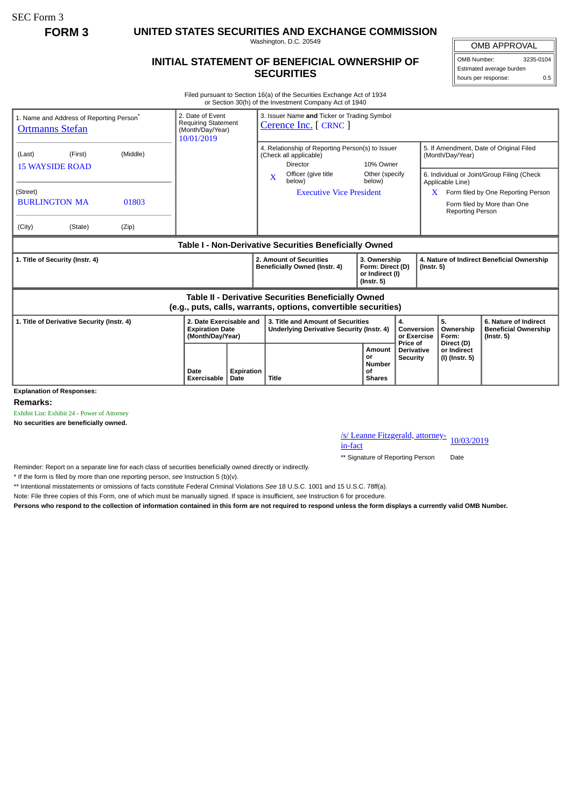SEC Form 3

**FORM 3 UNITED STATES SECURITIES AND EXCHANGE COMMISSION**

Washington, D.C. 20549

## **INITIAL STATEMENT OF BENEFICIAL OWNERSHIP OF SECURITIES**

OMB APPROVAL

OMB Number: 3235-0104 Estimated average burden hours per response: 0.5

Filed pursuant to Section 16(a) of the Securities Exchange Act of 1934 or Section 30(h) of the Investment Company Act of 1940

| 1. Name and Address of Reporting Person <sup>®</sup><br><b>Ortmanns Stefan</b>                                        | 2. Date of Event<br><b>Requiring Statement</b><br>(Month/Day/Year)<br>10/01/2019 |            | 3. Issuer Name and Ticker or Trading Symbol<br>Cerence Inc. [ CRNC ]                          |                                                                         |                                                  |                                                                |                                             |                                                                                                                 |  |
|-----------------------------------------------------------------------------------------------------------------------|----------------------------------------------------------------------------------|------------|-----------------------------------------------------------------------------------------------|-------------------------------------------------------------------------|--------------------------------------------------|----------------------------------------------------------------|---------------------------------------------|-----------------------------------------------------------------------------------------------------------------|--|
| (Middle)<br>(Last)<br>(First)<br><b>15 WAYSIDE ROAD</b>                                                               |                                                                                  |            | 4. Relationship of Reporting Person(s) to Issuer<br>(Check all applicable)<br><b>Director</b> | 10% Owner                                                               |                                                  | 5. If Amendment, Date of Original Filed<br>(Month/Day/Year)    |                                             |                                                                                                                 |  |
| (Street)<br><b>BURLINGTON MA</b><br>01803                                                                             |                                                                                  |            | Officer (give title<br>$\mathbf X$<br>below)<br><b>Executive Vice President</b>               | Other (specify<br>below)                                                |                                                  |                                                                | Applicable Line)<br><b>Reporting Person</b> | 6. Individual or Joint/Group Filing (Check<br>Form filed by One Reporting Person<br>Form filed by More than One |  |
| (City)<br>(State)<br>(Zip)                                                                                            |                                                                                  |            |                                                                                               |                                                                         |                                                  |                                                                |                                             |                                                                                                                 |  |
| Table I - Non-Derivative Securities Beneficially Owned                                                                |                                                                                  |            |                                                                                               |                                                                         |                                                  |                                                                |                                             |                                                                                                                 |  |
| 1. Title of Security (Instr. 4)                                                                                       |                                                                                  |            | 2. Amount of Securities<br>Beneficially Owned (Instr. 4)                                      | 3. Ownership<br>Form: Direct (D)<br>or Indirect (I)<br>$($ lnstr. 5 $)$ |                                                  | 4. Nature of Indirect Beneficial Ownership<br>$($ Instr. 5 $)$ |                                             |                                                                                                                 |  |
| Table II - Derivative Securities Beneficially Owned<br>(e.g., puts, calls, warrants, options, convertible securities) |                                                                                  |            |                                                                                               |                                                                         |                                                  |                                                                |                                             |                                                                                                                 |  |
| 1. Title of Derivative Security (Instr. 4)                                                                            | 2. Date Exercisable and<br><b>Expiration Date</b><br>(Month/Day/Year)            |            | 3. Title and Amount of Securities<br>Underlying Derivative Security (Instr. 4)                | 4.                                                                      |                                                  | Conversion<br>or Exercise                                      | 5.<br>Ownership<br>Form:                    | 6. Nature of Indirect<br><b>Beneficial Ownership</b><br>$($ lnstr. 5 $)$                                        |  |
| <b>Explanation of Responses:</b>                                                                                      | Date<br>Exercisable<br>Date                                                      | Expiration | Title                                                                                         | Amount<br>or<br>Number<br>0f<br><b>Shares</b>                           | Price of<br><b>Derivative</b><br><b>Security</b> | or Indirect                                                    | Direct (D)<br>(I) (Instr. 5)                |                                                                                                                 |  |

**Remarks:**

Exhibit List: Exhibit 24 - Power of Attorney

**No securities are beneficially owned.**

/s/ Leanne Fitzgerald, attorney-<br>in-fact

\*\* Signature of Reporting Person Date

Reminder: Report on a separate line for each class of securities beneficially owned directly or indirectly.

\* If the form is filed by more than one reporting person, *see* Instruction 5 (b)(v).

\*\* Intentional misstatements or omissions of facts constitute Federal Criminal Violations *See* 18 U.S.C. 1001 and 15 U.S.C. 78ff(a).

Note: File three copies of this Form, one of which must be manually signed. If space is insufficient, *see* Instruction 6 for procedure.

**Persons who respond to the collection of information contained in this form are not required to respond unless the form displays a currently valid OMB Number.**